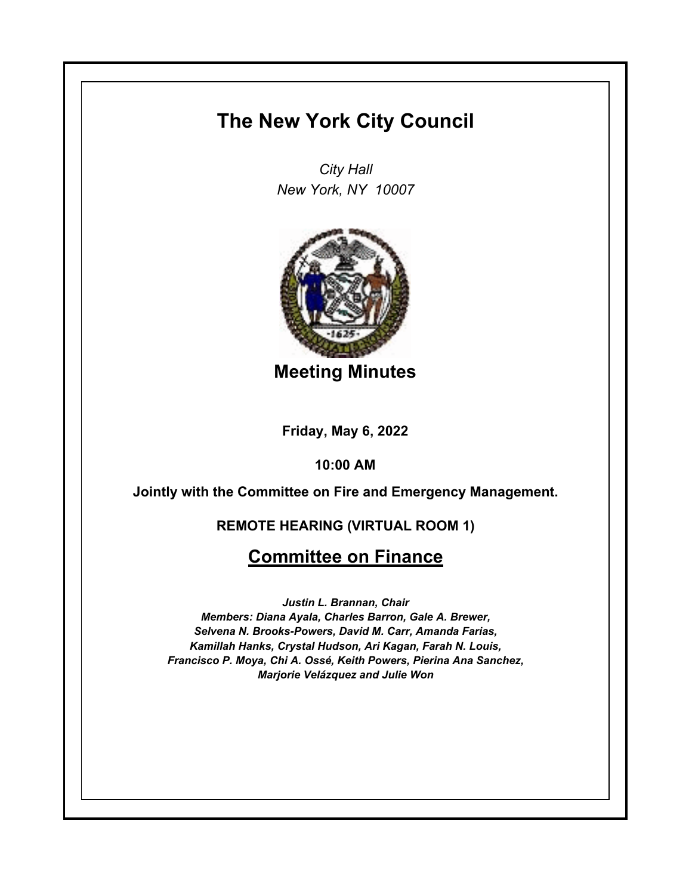## **The New York City Council**

*City Hall New York, NY 10007*



**Meeting Minutes**

**Friday, May 6, 2022**

**10:00 AM**

**Jointly with the Committee on Fire and Emergency Management.**

## **REMOTE HEARING (VIRTUAL ROOM 1)**

## **Committee on Finance**

*Justin L. Brannan, Chair Members: Diana Ayala, Charles Barron, Gale A. Brewer, Selvena N. Brooks-Powers, David M. Carr, Amanda Farias, Kamillah Hanks, Crystal Hudson, Ari Kagan, Farah N. Louis, Francisco P. Moya, Chi A. Ossé, Keith Powers, Pierina Ana Sanchez, Marjorie Velázquez and Julie Won*